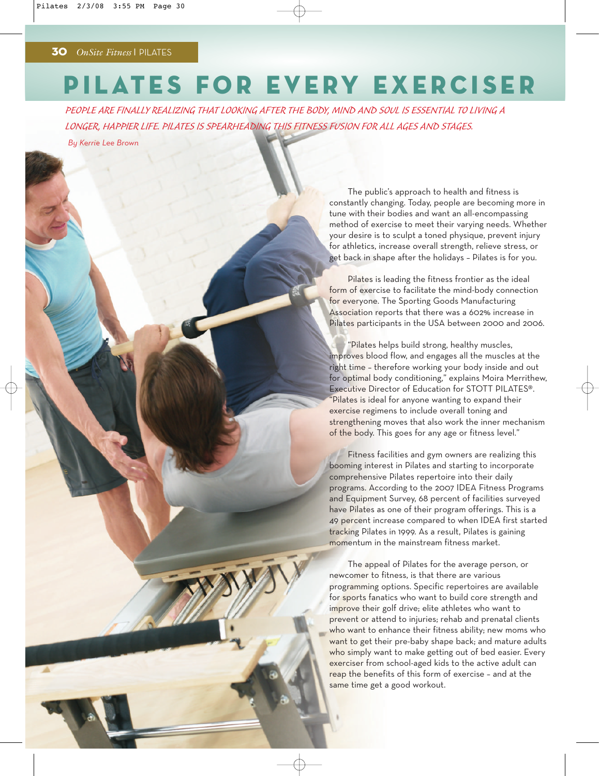## PILATES FOR EVERY EXERCISER

PEOPLE ARE FINALLY REALIZING THAT LOOKING AFTER THE BODY, MIND AND SOUL IS ESSENTIAL TO LIVING A LONGER, HAPPIER LIFE. PILATES IS SPEARHEADING THIS FITNESS FUSION FOR ALL AGES AND STAGES.

*By Kerrie Lee Brown*

The public's approach to health and fitness is constantly changing. Today, people are becoming more in tune with their bodies and want an all-encompassing method of exercise to meet their varying needs. Whether your desire is to sculpt a toned physique, prevent injury for athletics, increase overall strength, relieve stress, or get back in shape after the holidays – Pilates is for you.

Pilates is leading the fitness frontier as the ideal form of exercise to facilitate the mind-body connection for everyone. The Sporting Goods Manufacturing Association reports that there was a 602% increase in Pilates participants in the USA between 2000 and 2006.

"Pilates helps build strong, healthy muscles, improves blood flow, and engages all the muscles at the right time – therefore working your body inside and out for optimal body conditioning," explains Moira Merrithew, Executive Director of Education for STOTT PILATES®. "Pilates is ideal for anyone wanting to expand their exercise regimens to include overall toning and strengthening moves that also work the inner mechanism of the body. This goes for any age or fitness level."

Fitness facilities and gym owners are realizing this booming interest in Pilates and starting to incorporate comprehensive Pilates repertoire into their daily programs. According to the 2007 IDEA Fitness Programs and Equipment Survey, 68 percent of facilities surveyed have Pilates as one of their program offerings. This is a 49 percent increase compared to when IDEA first started tracking Pilates in 1999. As a result, Pilates is gaining momentum in the mainstream fitness market.

The appeal of Pilates for the average person, or newcomer to fitness, is that there are various programming options. Specific repertoires are available for sports fanatics who want to build core strength and improve their golf drive; elite athletes who want to prevent or attend to injuries; rehab and prenatal clients who want to enhance their fitness ability; new moms who want to get their pre-baby shape back; and mature adults who simply want to make getting out of bed easier. Every exerciser from school-aged kids to the active adult can reap the benefits of this form of exercise – and at the same time get a good workout.